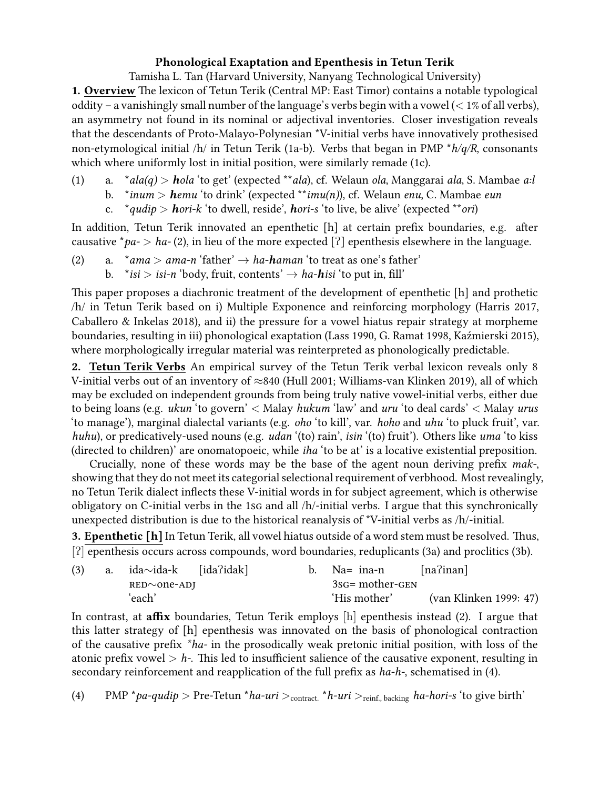## **Phonological Exaptation and Epenthesis in Tetun Terik**

Tamisha L. Tan (Harvard University, Nanyang Technological University)

**1. Overview** The lexicon of Tetun Terik (Central MP: East Timor) contains a notable typological oddity – a vanishingly small number of the language's verbs begin with a vowel (*<* 1% of all verbs), an asymmetry not found in its nominal or adjectival inventories. Closer investigation reveals that the descendants of Proto-Malayo-Polynesian \*V-initial verbs have innovatively prothesised non-etymological initial /h/ in Tetun Terik (1a-b). Verbs that began in PMP \**h/q/R*, consonants which where uniformly lost in initial position, were similarly remade (1c).

- (1) a. \**ala(q) > hola* 'to get' (expected \*\**ala*), cf. Welaun *ola*, Manggarai *ala*, S. Mambae *a:l*
	- b. \**inum > hemu* 'to drink' (expected \*\**imu(n)*), cf. Welaun *enu*, C. Mambae *eun*
	- c. \**qudip > hori-k* 'to dwell, reside', *hori-s* 'to live, be alive' (expected \*\**ori*)

In addition, Tetun Terik innovated an epenthetic [h] at certain prefix boundaries, e.g. after causative  $*pa$   $> ha$   $\cdot$  (2), in lieu of the more expected [?] epenthesis elsewhere in the language.

- (2) a.  $**ama* > *ama-n* 'father'  $\rightarrow$  *ha – haman* 'to treat as one's father'$ 
	- b.  $*$ *isi* > *isi-n* 'body, fruit, contents'  $\rightarrow$  *ha-hisi* 'to put in, fill'

This paper proposes a diachronic treatment of the development of epenthetic [h] and prothetic /h/ in Tetun Terik based on i) Multiple Exponence and reinforcing morphology (Harris 2017, Caballero & Inkelas 2018), and ii) the pressure for a vowel hiatus repair strategy at morpheme boundaries, resulting in iii) phonological exaptation (Lass 1990, G. Ramat 1998, Kaźmierski 2015), where morphologically irregular material was reinterpreted as phonologically predictable.

**2. Tetun Terik Verbs** An empirical survey of the Tetun Terik verbal lexicon reveals only 8 V-initial verbs out of an inventory of *≈*840 (Hull 2001; Williams-van Klinken 2019), all of which may be excluded on independent grounds from being truly native vowel-initial verbs, either due to being loans (e.g. *ukun* 'to govern' *<* Malay *hukum* 'law' and *uru* 'to deal cards' *<* Malay *urus* 'to manage'), marginal dialectal variants (e.g. *oho* 'to kill', var. *hoho* and *uhu* 'to pluck fruit', var. *huhu*), or predicatively-used nouns (e.g. *udan* '(to) rain', *isin* '(to) fruit'). Others like *uma* 'to kiss (directed to children)' are onomatopoeic, while *iha* 'to be at' is a locative existential preposition.

Crucially, none of these words may be the base of the agent noun deriving prefix *mak-*, showing that they do not meet its categorial selectional requirement of verbhood. Most revealingly, no Tetun Terik dialect inflects these V-initial words in for subject agreement, which is otherwise obligatory on C-initial verbs in the 1sg and all /h/-initial verbs. I argue that this synchronically unexpected distribution is due to the historical reanalysis of \*V-initial verbs as /h/-initial.

**3. Epenthetic [h]**In Tetun Terik, all vowel hiatus outside of a word stem must be resolved. Thus, [?] epenthesis occurs across compounds, word boundaries, reduplicants (3a) and proclitics (3b).

| (3) | a. $ida \sim ida - k$ [ida?idak] |  | Na= ina-n       | $[na$ ?inan]           |  |
|-----|----------------------------------|--|-----------------|------------------------|--|
|     | $RED \sim$ one-ADJ               |  | 3sg= mother-GEN |                        |  |
|     | 'each'                           |  | 'His mother'    | (van Klinken 1999: 47) |  |

In contrast, at **affix** boundaries, Tetun Terik employs [h] epenthesis instead (2). I argue that this latter strategy of [h] epenthesis was innovated on the basis of phonological contraction of the causative prefix *\*ha-* in the prosodically weak pretonic initial position, with loss of the atonic prefix vowel *> h-*. This led to insufficient salience of the causative exponent, resulting in secondary reinforcement and reapplication of the full prefix as *ha-h-*, schematised in (4).

(4) PMP  $*$ *pa-qudip*  $>$  Pre-Tetun  $*$ *ha-uri*  $>$ <sub>contract.  $*$ *h-uri*  $>$ <sub>reinf.</sub> backing *ha-hori-s* 'to give birth'</sub>